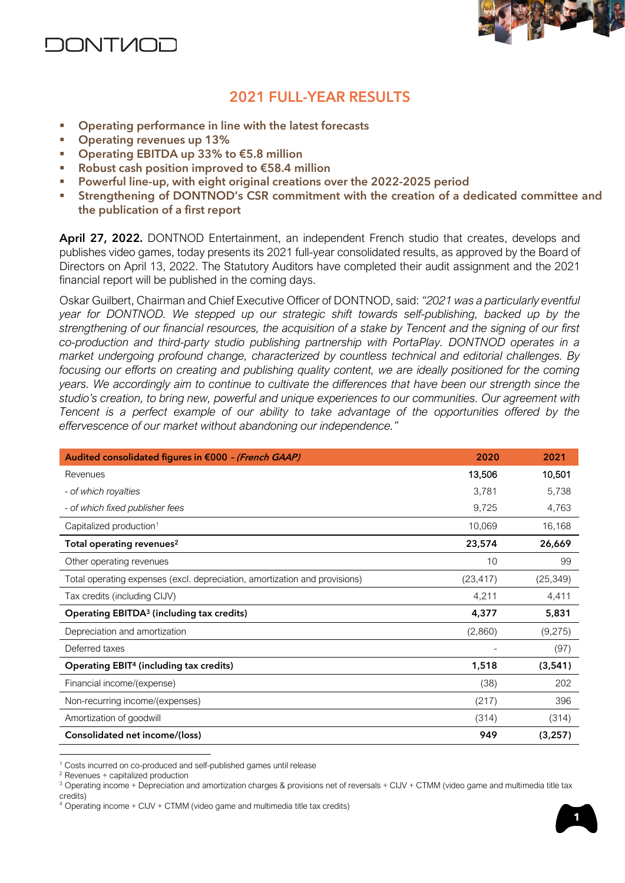



## **2021 FULL-YEAR RESULTS**

- Operating performance in line with the latest forecasts
- Operating revenues up 13%
- Operating EBITDA up 33% to €5.8 million
- Robust cash position improved to €58.4 million
- Powerful line-up, with eight original creations over the 2022-2025 period
- **EXECT:** Strengthening of DONTNOD's CSR commitment with the creation of a dedicated committee and the publication of a first report

**April 27, 2022.** DONTNOD Entertainment, an independent French studio that creates, develops and publishes video games, today presents its 2021 full-year consolidated results, as approved by the Board of Directors on April 13, 2022. The Statutory Auditors have completed their audit assignment and the 2021 financial report will be published in the coming days.

Oskar Guilbert, Chairman and Chief Executive Officer of DONTNOD, said: *"2021 was a particularly eventful year for DONTNOD. We stepped up our strategic shift towards self-publishing, backed up by the strengthening of our financial resources, the acquisition of a stake by Tencent and the signing of our first co-production and third-party studio publishing partnership with PortaPlay. DONTNOD operates in a market undergoing profound change, characterized by countless technical and editorial challenges. By focusing our efforts on creating and publishing quality content, we are ideally positioned for the coming years. We accordingly aim to continue to cultivate the differences that have been our strength since the studio's creation, to bring new, powerful and unique experiences to our communities. Our agreement with Tencent is a perfect example of our ability to take advantage of the opportunities offered by the effervescence of our market without abandoning our independence."*

| Audited consolidated figures in €000 - (French GAAP)                       | 2020      | 2021      |
|----------------------------------------------------------------------------|-----------|-----------|
| Revenues                                                                   | 13,506    | 10,501    |
| - of which royalties                                                       | 3,781     | 5,738     |
| - of which fixed publisher fees                                            | 9,725     | 4,763     |
| Capitalized production <sup>1</sup>                                        | 10,069    | 16,168    |
| Total operating revenues <sup>2</sup>                                      | 23,574    | 26,669    |
| Other operating revenues                                                   | 10        | 99        |
| Total operating expenses (excl. depreciation, amortization and provisions) | (23, 417) | (25, 349) |
| Tax credits (including CIJV)                                               | 4,211     | 4,411     |
| Operating EBITDA <sup>3</sup> (including tax credits)                      | 4,377     | 5,831     |
| Depreciation and amortization                                              | (2,860)   | (9,275)   |
| Deferred taxes                                                             |           | (97)      |
| <b>Operating EBIT4 (including tax credits)</b>                             | 1,518     | (3, 541)  |
| Financial income/(expense)                                                 | (38)      | 202       |
| Non-recurring income/(expenses)                                            | (217)     | 396       |
| Amortization of goodwill                                                   | (314)     | (314)     |
| Consolidated net income/(loss)                                             | 949       | (3, 257)  |

<sup>&</sup>lt;sup>1</sup> Costs incurred on co-produced and self-published games until release

<sup>2</sup> Revenues + capitalized production

<sup>&</sup>lt;sup>3</sup> Operating income + Depreciation and amortization charges & provisions net of reversals + CIJV + CTMM (video game and multimedia title tax credits)

 $4$  Operating income + CIJV + CTMM (video game and multimedia title tax credits)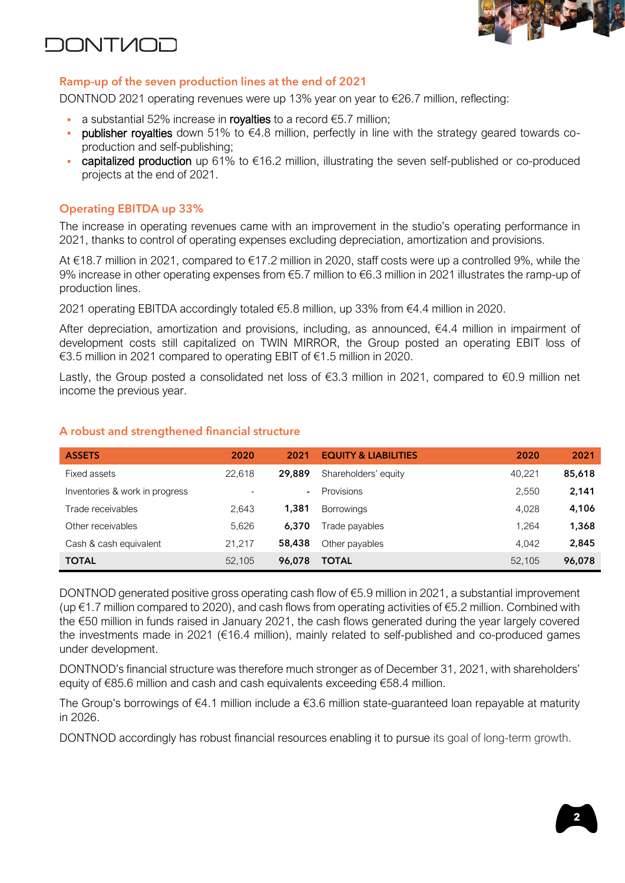

# **DONTMOL**

### **Ramp-up of the seven production lines at the end of 2021**

DONTNOD 2021 operating revenues were up 13% year on year to €26.7 million, reflecting:

- a substantial 52% increase in royalties to a record  $\epsilon$ 5.7 million;
- **publisher royalties** down 51% to €4.8 million, perfectly in line with the strategy geared towards coproduction and self-publishing;
- capitalized production up  $61\%$  to  $616.2$  million, illustrating the seven self-published or co-produced projects at the end of 2021.

### **Operating EBITDA up 33%**

The increase in operating revenues came with an improvement in the studio's operating performance in 2021, thanks to control of operating expenses excluding depreciation, amortization and provisions.

At €18.7 million in 2021, compared to €17.2 million in 2020, staff costs were up a controlled 9%, while the 9% increase in other operating expenses from €5.7 million to €6.3 million in 2021 illustrates the ramp-up of production lines.

2021 operating EBITDA accordingly totaled €5.8 million, up 33% from €4.4 million in 2020.

After depreciation, amortization and provisions, including, as announced, €4.4 million in impairment of development costs still capitalized on TWIN MIRROR, the Group posted an operating EBIT loss of €3.5 million in 2021 compared to operating EBIT of €1.5 million in 2020.

Lastly, the Group posted a consolidated net loss of €3.3 million in 2021, compared to €0.9 million net income the previous year.

| <b>ASSETS</b>                  | 2020                     | 2021           | <b>EQUITY &amp; LIABILITIES</b> | 2020   | 2021   |
|--------------------------------|--------------------------|----------------|---------------------------------|--------|--------|
| Fixed assets                   | 22.618                   | 29,889         | Shareholders' equity            | 40.221 | 85,618 |
| Inventories & work in progress | $\overline{\phantom{0}}$ | $\blacksquare$ | <b>Provisions</b>               | 2.550  | 2,141  |
| Trade receivables              | 2.643                    | 1,381          | <b>Borrowings</b>               | 4.028  | 4,106  |
| Other receivables              | 5.626                    | 6,370          | Trade payables                  | 1.264  | 1,368  |
| Cash & cash equivalent         | 21.217                   | 58,438         | Other payables                  | 4.042  | 2,845  |
| <b>TOTAL</b>                   | 52,105                   | 96,078         | <b>TOTAL</b>                    | 52.105 | 96,078 |

### **A robust and strengthened financial structure**

DONTNOD generated positive gross operating cash flow of  $\epsilon$ 5.9 million in 2021, a substantial improvement (up €1.7 million compared to 2020), and cash flows from operating activities of €5.2 million. Combined with the €50 million in funds raised in January 2021, the cash flows generated during the year largely covered the investments made in 2021 (€16.4 million), mainly related to self-published and co-produced games under development.

DONTNOD's financial structure was therefore much stronger as of December 31, 2021, with shareholders' equity of €85.6 million and cash and cash equivalents exceeding €58.4 million.

The Group's borrowings of  $\epsilon$ 4.1 million include a  $\epsilon$ 3.6 million state-guaranteed loan repayable at maturity in 2026.

DONTNOD accordingly has robust financial resources enabling it to pursue its goal of long-term growth.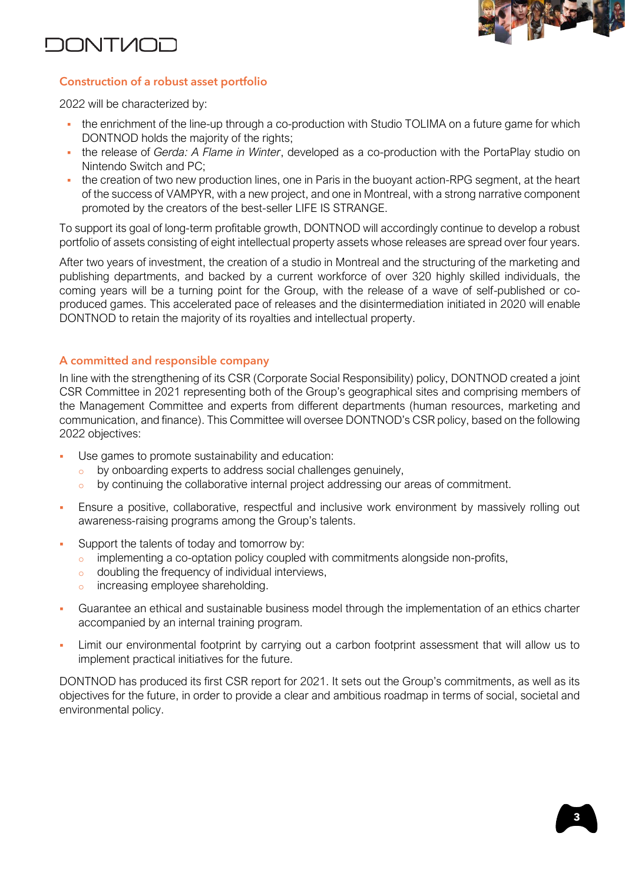



### **Construction of a robust asset portfolio**

2022 will be characterized by:

- the enrichment of the line-up through a co-production with Studio TOLIMA on a future game for which DONTNOD holds the majority of the rights;
- the release of *Gerda: A Flame in Winter*, developed as a co-production with the PortaPlay studio on Nintendo Switch and PC;
- the creation of two new production lines, one in Paris in the buoyant action-RPG segment, at the heart of the success of VAMPYR, with a new project, and one in Montreal, with a strong narrative component promoted by the creators of the best-seller LIFE IS STRANGE.

To support its goal of long-term profitable growth, DONTNOD will accordingly continue to develop a robust portfolio of assets consisting of eight intellectual property assets whose releases are spread over four years.

After two years of investment, the creation of a studio in Montreal and the structuring of the marketing and publishing departments, and backed by a current workforce of over 320 highly skilled individuals, the coming years will be a turning point for the Group, with the release of a wave of self-published or coproduced games. This accelerated pace of releases and the disintermediation initiated in 2020 will enable DONTNOD to retain the majority of its royalties and intellectual property.

#### **A committed and responsible company**

In line with the strengthening of its CSR (Corporate Social Responsibility) policy, DONTNOD created a joint CSR Committee in 2021 representing both of the Group's geographical sites and comprising members of the Management Committee and experts from different departments (human resources, marketing and communication, and finance). This Committee will oversee DONTNOD's CSR policy, based on the following 2022 objectives:

- Use games to promote sustainability and education:
	- o by onboarding experts to address social challenges genuinely,
	- by continuing the collaborative internal project addressing our areas of commitment.
- Ensure a positive, collaborative, respectful and inclusive work environment by massively rolling out awareness-raising programs among the Group's talents.
- Support the talents of today and tomorrow by:
	- $\circ$  implementing a co-optation policy coupled with commitments alongside non-profits,
	- o doubling the frequency of individual interviews,
	- o increasing employee shareholding.
- Guarantee an ethical and sustainable business model through the implementation of an ethics charter accompanied by an internal training program.
- Limit our environmental footprint by carrying out a carbon footprint assessment that will allow us to implement practical initiatives for the future.

DONTNOD has produced its first CSR report for 2021. It sets out the Group's commitments, as well as its objectives for the future, in order to provide a clear and ambitious roadmap in terms of social, societal and environmental policy.